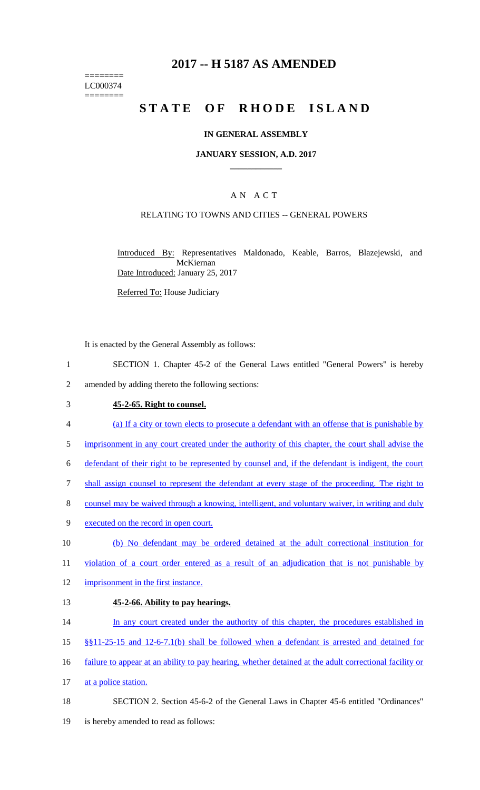# **2017 -- H 5187 AS AMENDED**

======== LC000374 ========

# STATE OF RHODE ISLAND

## **IN GENERAL ASSEMBLY**

## **JANUARY SESSION, A.D. 2017 \_\_\_\_\_\_\_\_\_\_\_\_**

# A N A C T

## RELATING TO TOWNS AND CITIES -- GENERAL POWERS

Introduced By: Representatives Maldonado, Keable, Barros, Blazejewski, and McKiernan Date Introduced: January 25, 2017

Referred To: House Judiciary

It is enacted by the General Assembly as follows:

- 1 SECTION 1. Chapter 45-2 of the General Laws entitled "General Powers" is hereby
- 2 amended by adding thereto the following sections:

#### 3 **45-2-65. Right to counsel.**

- 4 (a) If a city or town elects to prosecute a defendant with an offense that is punishable by
- 5 imprisonment in any court created under the authority of this chapter, the court shall advise the
- 6 defendant of their right to be represented by counsel and, if the defendant is indigent, the court
- 7 shall assign counsel to represent the defendant at every stage of the proceeding. The right to
- 8 counsel may be waived through a knowing, intelligent, and voluntary waiver, in writing and duly
- 9 executed on the record in open court.
- 10 (b) No defendant may be ordered detained at the adult correctional institution for
- 11 violation of a court order entered as a result of an adjudication that is not punishable by
- 12 imprisonment in the first instance.

#### 13 **45-2-66. Ability to pay hearings.**

- 14 In any court created under the authority of this chapter, the procedures established in
- 15 §§11-25-15 and 12-6-7.1(b) shall be followed when a defendant is arrested and detained for
- 16 failure to appear at an ability to pay hearing, whether detained at the adult correctional facility or
- 17 at a police station.
- 18 SECTION 2. Section 45-6-2 of the General Laws in Chapter 45-6 entitled "Ordinances"
- 19 is hereby amended to read as follows: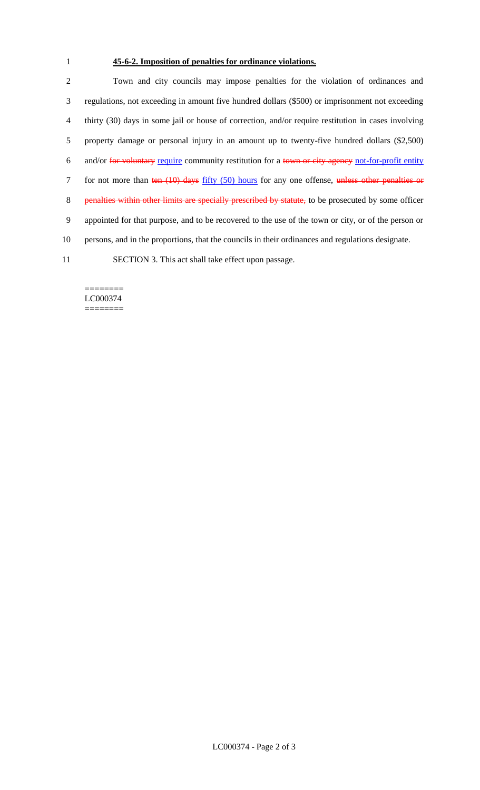# 1 **45-6-2. Imposition of penalties for ordinance violations.**

 Town and city councils may impose penalties for the violation of ordinances and regulations, not exceeding in amount five hundred dollars (\$500) or imprisonment not exceeding thirty (30) days in some jail or house of correction, and/or require restitution in cases involving property damage or personal injury in an amount up to twenty-five hundred dollars (\$2,500) 6 and/or for voluntary require community restitution for a town or city agency not-for-profit entity 7 for not more than ten (10) days fifty (50) hours for any one offense, unless other penalties or 8 penalties within other limits are specially prescribed by statute, to be prosecuted by some officer appointed for that purpose, and to be recovered to the use of the town or city, or of the person or persons, and in the proportions, that the councils in their ordinances and regulations designate. SECTION 3. This act shall take effect upon passage.

#### ======== LC000374 ========